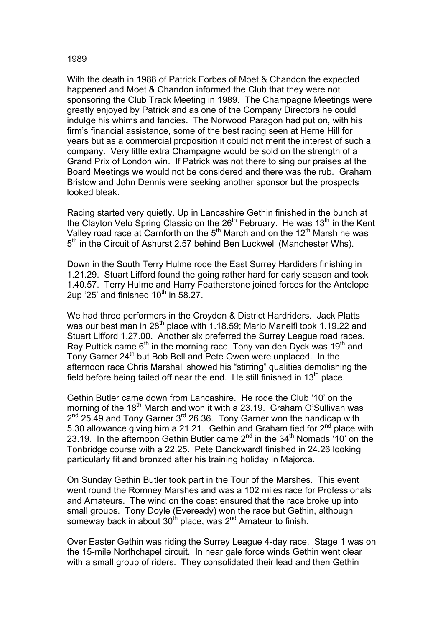## 1989

With the death in 1988 of Patrick Forbes of Moet & Chandon the expected happened and Moet & Chandon informed the Club that they were not sponsoring the Club Track Meeting in 1989. The Champagne Meetings were greatly enjoyed by Patrick and as one of the Company Directors he could indulge his whims and fancies. The Norwood Paragon had put on, with his firm's financial assistance, some of the best racing seen at Herne Hill for years but as a commercial proposition it could not merit the interest of such a company. Very little extra Champagne would be sold on the strength of a Grand Prix of London win. If Patrick was not there to sing our praises at the Board Meetings we would not be considered and there was the rub. Graham Bristow and John Dennis were seeking another sponsor but the prospects looked bleak.

Racing started very quietly. Up in Lancashire Gethin finished in the bunch at the Clayton Velo Spring Classic on the  $26<sup>th</sup>$  February. He was 13<sup>th</sup> in the Kent Valley road race at Carnforth on the 5<sup>th</sup> March and on the 12<sup>th</sup> Marsh he was 5<sup>th</sup> in the Circuit of Ashurst 2.57 behind Ben Luckwell (Manchester Whs).

Down in the South Terry Hulme rode the East Surrey Hardiders finishing in 1.21.29. Stuart Lifford found the going rather hard for early season and took 1.40.57. Terry Hulme and Harry Featherstone joined forces for the Antelope 2up '25' and finished  $10<sup>th</sup>$  in 58.27.

We had three performers in the Croydon & District Hardriders. Jack Platts was our best man in 28<sup>th</sup> place with 1.18.59; Mario Manelfi took 1.19.22 and Stuart Lifford 1.27.00. Another six preferred the Surrey League road races. Ray Puttick came  $6<sup>th</sup>$  in the morning race, Tony van den Dyck was 19<sup>th</sup> and Tony Garner 24<sup>th</sup> but Bob Bell and Pete Owen were unplaced. In the afternoon race Chris Marshall showed his "stirring" qualities demolishing the field before being tailed off near the end. He still finished in  $13<sup>th</sup>$  place.

Gethin Butler came down from Lancashire. He rode the Club '10' on the morning of the 18<sup>th</sup> March and won it with a 23.19. Graham O'Sullivan was  $2^{nd}$  25.49 and Tony Garner  $3^{rd}$  26.36. Tony Garner won the handicap with 5.30 allowance giving him a 21.21. Gethin and Graham tied for  $2^{nd}$  place with 23.19. In the afternoon Gethin Butler came 2<sup>nd</sup> in the 34<sup>th</sup> Nomads '10' on the Tonbridge course with a 22.25. Pete Danckwardt finished in 24.26 looking particularly fit and bronzed after his training holiday in Majorca.

On Sunday Gethin Butler took part in the Tour of the Marshes. This event went round the Romney Marshes and was a 102 miles race for Professionals and Amateurs. The wind on the coast ensured that the race broke up into small groups. Tony Doyle (Eveready) won the race but Gethin, although someway back in about 30<sup>th</sup> place, was 2<sup>nd</sup> Amateur to finish.

Over Easter Gethin was riding the Surrey League 4-day race. Stage 1 was on the 15-mile Northchapel circuit. In near gale force winds Gethin went clear with a small group of riders. They consolidated their lead and then Gethin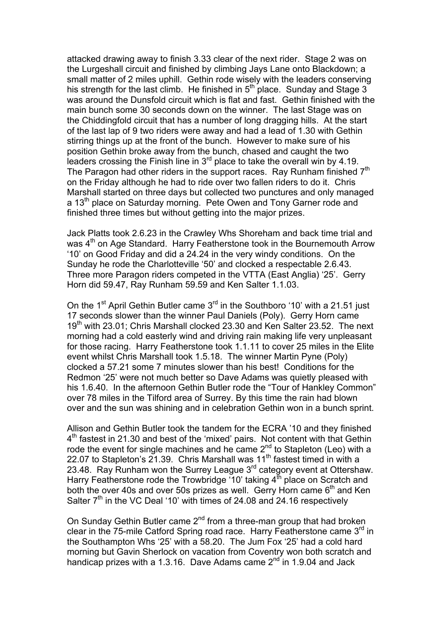attacked drawing away to finish 3.33 clear of the next rider. Stage 2 was on the Lurgeshall circuit and finished by climbing Jays Lane onto Blackdown; a small matter of 2 miles uphill. Gethin rode wisely with the leaders conserving his strength for the last climb. He finished in  $5<sup>th</sup>$  place. Sunday and Stage 3 was around the Dunsfold circuit which is flat and fast. Gethin finished with the main bunch some 30 seconds down on the winner. The last Stage was on the Chiddingfold circuit that has a number of long dragging hills. At the start of the last lap of 9 two riders were away and had a lead of 1.30 with Gethin stirring things up at the front of the bunch. However to make sure of his position Gethin broke away from the bunch, chased and caught the two leaders crossing the Finish line in  $3<sup>rd</sup>$  place to take the overall win by 4.19. The Paragon had other riders in the support races. Ray Runham finished  $7<sup>th</sup>$ on the Friday although he had to ride over two fallen riders to do it. Chris Marshall started on three days but collected two punctures and only managed a 13<sup>th</sup> place on Saturday morning. Pete Owen and Tony Garner rode and finished three times but without getting into the major prizes.

Jack Platts took 2.6.23 in the Crawley Whs Shoreham and back time trial and was 4<sup>th</sup> on Age Standard. Harry Featherstone took in the Bournemouth Arrow '10' on Good Friday and did a 24.24 in the very windy conditions. On the Sunday he rode the Charlotteville '50' and clocked a respectable 2.6.43. Three more Paragon riders competed in the VTTA (East Anglia) '25'. Gerry Horn did 59.47, Ray Runham 59.59 and Ken Salter 1.1.03.

On the 1<sup>st</sup> April Gethin Butler came 3<sup>rd</sup> in the Southboro '10' with a 21.51 just 17 seconds slower than the winner Paul Daniels (Poly). Gerry Horn came 19<sup>th</sup> with 23.01; Chris Marshall clocked 23.30 and Ken Salter 23.52. The next morning had a cold easterly wind and driving rain making life very unpleasant for those racing. Harry Featherstone took 1.1.11 to cover 25 miles in the Elite event whilst Chris Marshall took 1.5.18. The winner Martin Pyne (Poly) clocked a 57.21 some 7 minutes slower than his best! Conditions for the Redmon '25' were not much better so Dave Adams was quietly pleased with his 1.6.40. In the afternoon Gethin Butler rode the "Tour of Hankley Common" over 78 miles in the Tilford area of Surrey. By this time the rain had blown over and the sun was shining and in celebration Gethin won in a bunch sprint.

Allison and Gethin Butler took the tandem for the ECRA '10 and they finished 4<sup>th</sup> fastest in 21.30 and best of the 'mixed' pairs. Not content with that Gethin rode the event for single machines and he came 2<sup>nd</sup> to Stapleton (Leo) with a 22.07 to Stapleton's 21.39. Chris Marshall was  $11<sup>th</sup>$  fastest timed in with a 23.48. Ray Runham won the Surrey League 3<sup>rd</sup> category event at Ottershaw. Harry Featherstone rode the Trowbridge '10' taking  $4^{\text{th}}$  place on Scratch and both the over 40s and over 50s prizes as well. Gerry Horn came  $6<sup>th</sup>$  and Ken Salter  $7<sup>th</sup>$  in the VC Deal '10' with times of 24.08 and 24.16 respectively

On Sunday Gethin Butler came 2<sup>nd</sup> from a three-man group that had broken clear in the 75-mile Catford Spring road race. Harry Featherstone came  $3<sup>rd</sup>$  in the Southampton Whs '25' with a 58.20. The Jum Fox '25' had a cold hard morning but Gavin Sherlock on vacation from Coventry won both scratch and handicap prizes with a 1.3.16. Dave Adams came  $2^{nd}$  in 1.9.04 and Jack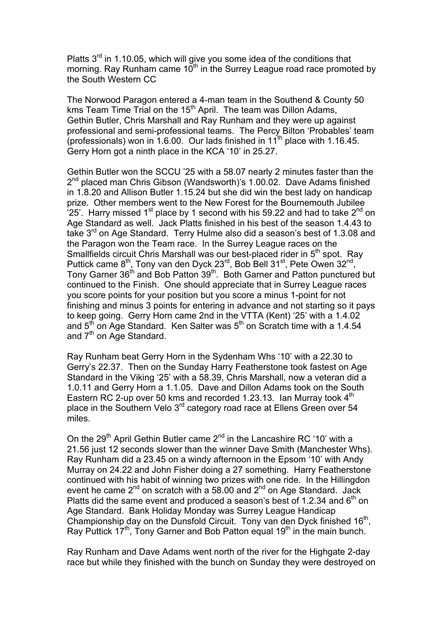Platts 3<sup>rd</sup> in 1.10.05, which will give you some idea of the conditions that morning. Ray Runham came  $10<sup>th</sup>$  in the Surrey League road race promoted by the South Western CC

The Norwood Paragon entered a 4-man team in the Southend & County 50 kms Team Time Trial on the 15<sup>th</sup> April. The team was Dillon Adams, Gethin Butler, Chris Marshall and Ray Runham and they were up against professional and semi-professional teams. The Percy Bilton 'Probables' team (professionals) won in 1.6.00. Our lads finished in  $11<sup>th</sup>$  place with 1.16.45. Gerry Horn got a ninth place in the KCA '10' in 25.27.

Gethin Butler won the SCCU '25 with a 58.07 nearly 2 minutes faster than the 2<sup>nd</sup> placed man Chris Gibson (Wandsworth)'s 1.00.02. Dave Adams finished in 1.8.20 and Allison Butler 1.15.24 but she did win the best lady on handicap prize. Other members went to the New Forest for the Bournemouth Jubilee  $25'$ . Harry missed 1<sup>st</sup> place by 1 second with his 59.22 and had to take 2<sup>nd</sup> on Age Standard as well. Jack Platts finished in his best of the season 1.4.43 to take 3<sup>rd</sup> on Age Standard. Terry Hulme also did a season's best of 1.3.08 and the Paragon won the Team race. In the Surrey League races on the Smallfields circuit Chris Marshall was our best-placed rider in  $5<sup>th</sup>$  spot. Ray Puttick came 8<sup>th</sup>, Tony van den Dyck 23<sup>rd</sup>, Bob Bell 31<sup>st</sup>, Pete Owen 32<sup>nd</sup>, Tony Garner 36<sup>th</sup> and Bob Patton 39<sup>th</sup>. Both Garner and Patton punctured but continued to the Finish. One should appreciate that in Surrey League races you score points for your position but you score a minus 1-point for not finishing and minus 3 points for entering in advance and not starting so it pays to keep going. Gerry Horn came 2nd in the VTTA (Kent) '25' with a 1.4.02 and  $5<sup>th</sup>$  on Age Standard. Ken Salter was  $5<sup>th</sup>$  on Scratch time with a 1.4.54 and  $7<sup>th</sup>$  on Age Standard.

Ray Runham beat Gerry Horn in the Sydenham Whs '10' with a 22.30 to Gerry's 22.37. Then on the Sunday Harry Featherstone took fastest on Age Standard in the Viking '25' with a 58.39, Chris Marshall, now a veteran did a 1.0.11 and Gerry Horn a 1.1.05. Dave and Dillon Adams took on the South Eastern RC 2-up over 50 kms and recorded 1.23.13. Ian Murray took 4<sup>th</sup> place in the Southern Velo 3<sup>rd</sup> category road race at Ellens Green over 54 miles.

On the 29<sup>th</sup> April Gethin Butler came 2<sup>nd</sup> in the Lancashire RC '10' with a 21.56 just 12 seconds slower than the winner Dave Smith (Manchester Whs). Ray Runham did a 23.45 on a windy afternoon in the Epsom '10' with Andy Murray on 24.22 and John Fisher doing a 27 something. Harry Featherstone continued with his habit of winning two prizes with one ride. In the Hillingdon event he came  $2<sup>nd</sup>$  on scratch with a 58.00 and  $2<sup>nd</sup>$  on Age Standard. Jack Platts did the same event and produced a season's best of 1.2.34 and  $6<sup>th</sup>$  on Age Standard. Bank Holiday Monday was Surrey League Handicap Championship day on the Dunsfold Circuit. Tony van den Dyck finished 16<sup>th</sup>, Ray Puttick  $17<sup>th</sup>$ , Tony Garner and Bob Patton equal  $19<sup>th</sup>$  in the main bunch.

Ray Runham and Dave Adams went north of the river for the Highgate 2-day race but while they finished with the bunch on Sunday they were destroyed on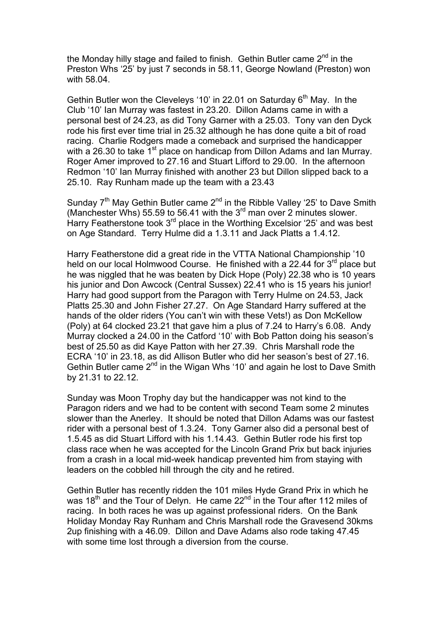the Monday hilly stage and failed to finish. Gethin Butler came  $2<sup>nd</sup>$  in the Preston Whs '25' by just 7 seconds in 58.11, George Nowland (Preston) won with 58.04.

Gethin Butler won the Clevelevs '10' in 22.01 on Saturday  $6<sup>th</sup>$  May. In the Club '10' Ian Murray was fastest in 23.20. Dillon Adams came in with a personal best of 24.23, as did Tony Garner with a 25.03. Tony van den Dyck rode his first ever time trial in 25.32 although he has done quite a bit of road racing. Charlie Rodgers made a comeback and surprised the handicapper with a 26.30 to take 1<sup>st</sup> place on handicap from Dillon Adams and Ian Murray. Roger Amer improved to 27.16 and Stuart Lifford to 29.00. In the afternoon Redmon '10' Ian Murray finished with another 23 but Dillon slipped back to a 25.10. Ray Runham made up the team with a 23.43

Sunday  $7<sup>th</sup>$  May Gethin Butler came  $2<sup>nd</sup>$  in the Ribble Valley '25' to Dave Smith (Manchester Whs) 55.59 to 56.41 with the  $3<sup>rd</sup>$  man over 2 minutes slower. Harry Featherstone took  $3<sup>rd</sup>$  place in the Worthing Excelsior '25' and was best on Age Standard. Terry Hulme did a 1.3.11 and Jack Platts a 1.4.12.

Harry Featherstone did a great ride in the VTTA National Championship '10 held on our local Holmwood Course. He finished with a 22.44 for  $3<sup>rd</sup>$  place but he was niggled that he was beaten by Dick Hope (Poly) 22.38 who is 10 years his junior and Don Awcock (Central Sussex) 22.41 who is 15 years his junior! Harry had good support from the Paragon with Terry Hulme on 24.53, Jack Platts 25.30 and John Fisher 27.27. On Age Standard Harry suffered at the hands of the older riders (You can't win with these Vets!) as Don McKellow (Poly) at 64 clocked 23.21 that gave him a plus of 7.24 to Harry's 6.08. Andy Murray clocked a 24.00 in the Catford '10' with Bob Patton doing his season's best of 25.50 as did Kaye Patton with her 27.39. Chris Marshall rode the ECRA '10' in 23.18, as did Allison Butler who did her season's best of 27.16. Gethin Butler came  $2^{nd}$  in the Wigan Whs '10' and again he lost to Dave Smith by 21.31 to 22.12.

Sunday was Moon Trophy day but the handicapper was not kind to the Paragon riders and we had to be content with second Team some 2 minutes slower than the Anerley. It should be noted that Dillon Adams was our fastest rider with a personal best of 1.3.24. Tony Garner also did a personal best of 1.5.45 as did Stuart Lifford with his 1.14.43. Gethin Butler rode his first top class race when he was accepted for the Lincoln Grand Prix but back injuries from a crash in a local mid-week handicap prevented him from staying with leaders on the cobbled hill through the city and he retired.

Gethin Butler has recently ridden the 101 miles Hyde Grand Prix in which he was 18<sup>th</sup> and the Tour of Delyn. He came 22<sup>nd</sup> in the Tour after 112 miles of racing. In both races he was up against professional riders. On the Bank Holiday Monday Ray Runham and Chris Marshall rode the Gravesend 30kms 2up finishing with a 46.09. Dillon and Dave Adams also rode taking 47.45 with some time lost through a diversion from the course.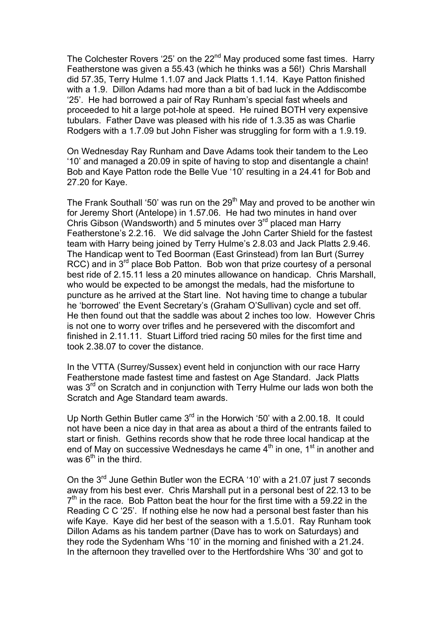The Colchester Rovers '25' on the 22<sup>nd</sup> May produced some fast times. Harry Featherstone was given a 55.43 (which he thinks was a 56!) Chris Marshall did 57.35, Terry Hulme 1.1.07 and Jack Platts 1.1.14. Kaye Patton finished with a 1.9. Dillon Adams had more than a bit of bad luck in the Addiscombe '25'. He had borrowed a pair of Ray Runham's special fast wheels and proceeded to hit a large pot-hole at speed. He ruined BOTH very expensive tubulars. Father Dave was pleased with his ride of 1.3.35 as was Charlie Rodgers with a 1.7.09 but John Fisher was struggling for form with a 1.9.19.

On Wednesday Ray Runham and Dave Adams took their tandem to the Leo '10' and managed a 20.09 in spite of having to stop and disentangle a chain! Bob and Kaye Patton rode the Belle Vue '10' resulting in a 24.41 for Bob and 27.20 for Kaye.

The Frank Southall '50' was run on the 29<sup>th</sup> May and proved to be another win for Jeremy Short (Antelope) in 1.57.06. He had two minutes in hand over Chris Gibson (Wandsworth) and 5 minutes over  $3<sup>rd</sup>$  placed man Harry Featherstone's 2.2.16. We did salvage the John Carter Shield for the fastest team with Harry being joined by Terry Hulme's 2.8.03 and Jack Platts 2.9.46. The Handicap went to Ted Boorman (East Grinstead) from Ian Burt (Surrey RCC) and in  $3^{rd}$  place Bob Patton. Bob won that prize courtesy of a personal best ride of 2.15.11 less a 20 minutes allowance on handicap. Chris Marshall, who would be expected to be amongst the medals, had the misfortune to puncture as he arrived at the Start line. Not having time to change a tubular he 'borrowed' the Event Secretary's (Graham O'Sullivan) cycle and set off. He then found out that the saddle was about 2 inches too low. However Chris is not one to worry over trifles and he persevered with the discomfort and finished in 2.11.11. Stuart Lifford tried racing 50 miles for the first time and took 2.38.07 to cover the distance.

In the VTTA (Surrey/Sussex) event held in conjunction with our race Harry Featherstone made fastest time and fastest on Age Standard. Jack Platts was 3<sup>rd</sup> on Scratch and in conjunction with Terry Hulme our lads won both the Scratch and Age Standard team awards.

Up North Gethin Butler came 3<sup>rd</sup> in the Horwich '50' with a 2.00.18. It could not have been a nice day in that area as about a third of the entrants failed to start or finish. Gethins records show that he rode three local handicap at the end of May on successive Wednesdays he came  $4<sup>th</sup>$  in one,  $1<sup>st</sup>$  in another and was  $6<sup>th</sup>$  in the third.

On the 3<sup>rd</sup> June Gethin Butler won the ECRA '10' with a 21.07 just 7 seconds away from his best ever. Chris Marshall put in a personal best of 22.13 to be  $7<sup>th</sup>$  in the race. Bob Patton beat the hour for the first time with a 59.22 in the Reading C C '25'. If nothing else he now had a personal best faster than his wife Kaye. Kaye did her best of the season with a 1.5.01. Ray Runham took Dillon Adams as his tandem partner (Dave has to work on Saturdays) and they rode the Sydenham Whs '10' in the morning and finished with a 21.24. In the afternoon they travelled over to the Hertfordshire Whs '30' and got to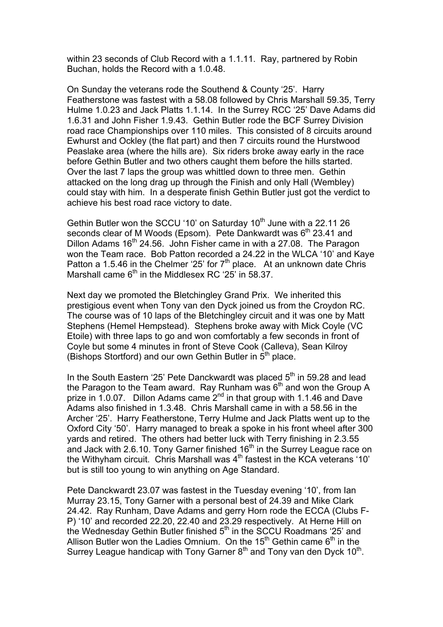within 23 seconds of Club Record with a 1.1.11. Ray, partnered by Robin Buchan, holds the Record with a 1.0.48.

On Sunday the veterans rode the Southend & County '25'. Harry Featherstone was fastest with a 58.08 followed by Chris Marshall 59.35, Terry Hulme 1.0.23 and Jack Platts 1.1.14. In the Surrey RCC '25' Dave Adams did 1.6.31 and John Fisher 1.9.43. Gethin Butler rode the BCF Surrey Division road race Championships over 110 miles. This consisted of 8 circuits around Ewhurst and Ockley (the flat part) and then 7 circuits round the Hurstwood Peaslake area (where the hills are). Six riders broke away early in the race before Gethin Butler and two others caught them before the hills started. Over the last 7 laps the group was whittled down to three men. Gethin attacked on the long drag up through the Finish and only Hall (Wembley) could stay with him. In a desperate finish Gethin Butler just got the verdict to achieve his best road race victory to date.

Gethin Butler won the SCCU '10' on Saturday  $10<sup>th</sup>$  June with a 22.11 26 seconds clear of M Woods (Epsom). Pete Dankwardt was 6<sup>th</sup> 23.41 and Dillon Adams  $16<sup>th</sup>$  24.56. John Fisher came in with a 27.08. The Paragon won the Team race. Bob Patton recorded a 24.22 in the WLCA '10' and Kaye Patton a 1.5.46 in the Chelmer '25' for  $7<sup>th</sup>$  place. At an unknown date Chris Marshall came  $6<sup>th</sup>$  in the Middlesex RC '25' in 58.37.

Next day we promoted the Bletchingley Grand Prix. We inherited this prestigious event when Tony van den Dyck joined us from the Croydon RC. The course was of 10 laps of the Bletchingley circuit and it was one by Matt Stephens (Hemel Hempstead). Stephens broke away with Mick Coyle (VC Etoile) with three laps to go and won comfortably a few seconds in front of Coyle but some 4 minutes in front of Steve Cook (Calleva), Sean Kilroy (Bishops Stortford) and our own Gethin Butler in  $5<sup>th</sup>$  place.

In the South Eastern '25' Pete Danckwardt was placed  $5<sup>th</sup>$  in 59.28 and lead the Paragon to the Team award. Ray Runham was  $6<sup>th</sup>$  and won the Group A prize in 1.0.07. Dillon Adams came  $2^{nd}$  in that group with 1.1.46 and Dave Adams also finished in 1.3.48. Chris Marshall came in with a 58.56 in the Archer '25'. Harry Featherstone, Terry Hulme and Jack Platts went up to the Oxford City '50'. Harry managed to break a spoke in his front wheel after 300 yards and retired. The others had better luck with Terry finishing in 2.3.55 and Jack with 2.6.10. Tony Garner finished 16<sup>th</sup> in the Surrey League race on the Withyham circuit. Chris Marshall was  $4<sup>th</sup>$  fastest in the KCA veterans '10' but is still too young to win anything on Age Standard.

Pete Danckwardt 23.07 was fastest in the Tuesday evening '10', from Ian Murray 23.15, Tony Garner with a personal best of 24.39 and Mike Clark 24.42. Ray Runham, Dave Adams and gerry Horn rode the ECCA (Clubs F-P) '10' and recorded 22.20, 22.40 and 23.29 respectively. At Herne Hill on the Wednesday Gethin Butler finished  $5<sup>th</sup>$  in the SCCU Roadmans '25' and Allison Butler won the Ladies Omnium. On the 15<sup>th</sup> Gethin came  $6<sup>th</sup>$  in the Surrey League handicap with Tony Garner  $8<sup>th</sup>$  and Tony van den Dyck  $10<sup>th</sup>$ .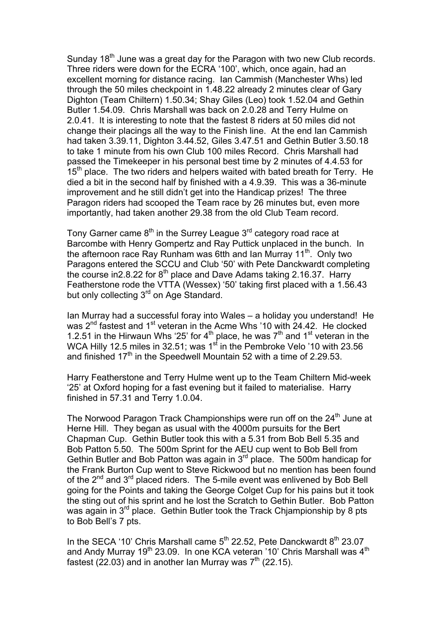Sunday 18<sup>th</sup> June was a great day for the Paragon with two new Club records. Three riders were down for the ECRA '100', which, once again, had an excellent morning for distance racing. Ian Cammish (Manchester Whs) led through the 50 miles checkpoint in 1.48.22 already 2 minutes clear of Gary Dighton (Team Chiltern) 1.50.34; Shay Giles (Leo) took 1.52.04 and Gethin Butler 1.54.09. Chris Marshall was back on 2.0.28 and Terry Hulme on 2.0.41. It is interesting to note that the fastest 8 riders at 50 miles did not change their placings all the way to the Finish line. At the end Ian Cammish had taken 3.39.11, Dighton 3.44.52, Giles 3.47.51 and Gethin Butler 3.50.18 to take 1 minute from his own Club 100 miles Record. Chris Marshall had passed the Timekeeper in his personal best time by 2 minutes of 4.4.53 for  $15<sup>th</sup>$  place. The two riders and helpers waited with bated breath for Terry. He died a bit in the second half by finished with a 4.9.39. This was a 36-minute improvement and he still didn't get into the Handicap prizes! The three Paragon riders had scooped the Team race by 26 minutes but, even more importantly, had taken another 29.38 from the old Club Team record.

Tony Garner came  $8<sup>th</sup>$  in the Surrey League  $3<sup>rd</sup>$  category road race at Barcombe with Henry Gompertz and Ray Puttick unplaced in the bunch. In the afternoon race Ray Runham was 6tth and Ian Murray 11<sup>th</sup>. Only two Paragons entered the SCCU and Club '50' with Pete Danckwardt completing the course in 2.8.22 for  $8^{th}$  place and Dave Adams taking 2.16.37. Harry Featherstone rode the VTTA (Wessex) '50' taking first placed with a 1.56.43 but only collecting 3<sup>rd</sup> on Age Standard.

Ian Murray had a successful foray into Wales – a holiday you understand! He was 2<sup>nd</sup> fastest and 1<sup>st</sup> veteran in the Acme Whs '10 with 24.42. He clocked 1.2.51 in the Hirwaun Whs '25' for  $4<sup>th</sup>$  place, he was  $7<sup>th</sup>$  and  $1<sup>st</sup>$  veteran in the WCA Hilly 12.5 miles in 32.51; was 1<sup>st</sup> in the Pembroke Velo '10 with 23.56 and finished  $17<sup>th</sup>$  in the Speedwell Mountain 52 with a time of 2.29.53.

Harry Featherstone and Terry Hulme went up to the Team Chiltern Mid-week '25' at Oxford hoping for a fast evening but it failed to materialise. Harry finished in 57.31 and Terry 1.0.04.

The Norwood Paragon Track Championships were run off on the 24<sup>th</sup> June at Herne Hill. They began as usual with the 4000m pursuits for the Bert Chapman Cup. Gethin Butler took this with a 5.31 from Bob Bell 5.35 and Bob Patton 5.50. The 500m Sprint for the AEU cup went to Bob Bell from Gethin Butler and Bob Patton was again in 3rd place. The 500m handicap for the Frank Burton Cup went to Steve Rickwood but no mention has been found of the 2<sup>nd</sup> and 3<sup>rd</sup> placed riders. The 5-mile event was enlivened by Bob Bell going for the Points and taking the George Colget Cup for his pains but it took the sting out of his sprint and he lost the Scratch to Gethin Butler. Bob Patton was again in  $3^{rd}$  place. Gethin Butler took the Track Chjampionship by 8 pts to Bob Bell's 7 pts.

In the SECA '10' Chris Marshall came  $5<sup>th</sup>$  22.52, Pete Danckwardt  $8<sup>th</sup>$  23.07 and Andy Murray 19<sup>th</sup> 23.09. In one KCA veteran '10' Chris Marshall was 4<sup>th</sup> fastest (22.03) and in another Ian Murray was  $7<sup>th</sup>$  (22.15).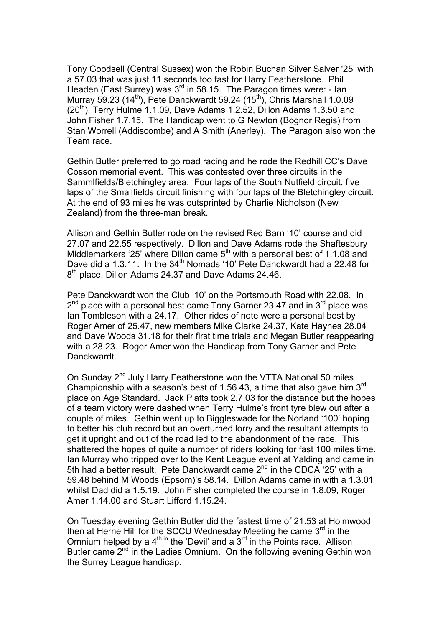Tony Goodsell (Central Sussex) won the Robin Buchan Silver Salver '25' with a 57.03 that was just 11 seconds too fast for Harry Featherstone. Phil Headen (East Surrey) was 3<sup>rd</sup> in 58.15. The Paragon times were: - Ian Murray 59.23 (14<sup>th</sup>), Pete Danckwardt 59.24 (15<sup>th</sup>), Chris Marshall 1.0.09  $(20<sup>th</sup>)$ , Terry Hulme 1.1.09, Dave Adams 1.2.52, Dillon Adams 1.3.50 and John Fisher 1.7.15. The Handicap went to G Newton (Bognor Regis) from Stan Worrell (Addiscombe) and A Smith (Anerley). The Paragon also won the Team race.

Gethin Butler preferred to go road racing and he rode the Redhill CC's Dave Cosson memorial event. This was contested over three circuits in the Sammlfields/Bletchingley area. Four laps of the South Nutfield circuit, five laps of the Smallfields circuit finishing with four laps of the Bletchingley circuit. At the end of 93 miles he was outsprinted by Charlie Nicholson (New Zealand) from the three-man break.

Allison and Gethin Butler rode on the revised Red Barn '10' course and did 27.07 and 22.55 respectively. Dillon and Dave Adams rode the Shaftesbury Middlemarkers '25' where Dillon came  $5<sup>th</sup>$  with a personal best of 1.1.08 and Dave did a 1.3.11. In the 34<sup>th</sup> Nomads '10' Pete Danckwardt had a 22.48 for 8<sup>th</sup> place, Dillon Adams 24.37 and Dave Adams 24.46.

Pete Danckwardt won the Club '10' on the Portsmouth Road with 22.08. In  $2^{nd}$  place with a personal best came Tony Garner 23.47 and in  $3^{rd}$  place was Ian Tombleson with a 24.17. Other rides of note were a personal best by Roger Amer of 25.47, new members Mike Clarke 24.37, Kate Haynes 28.04 and Dave Woods 31.18 for their first time trials and Megan Butler reappearing with a 28.23. Roger Amer won the Handicap from Tony Garner and Pete Danckwardt.

On Sunday 2<sup>nd</sup> July Harry Featherstone won the VTTA National 50 miles Championship with a season's best of 1.56.43, a time that also gave him 3rd place on Age Standard. Jack Platts took 2.7.03 for the distance but the hopes of a team victory were dashed when Terry Hulme's front tyre blew out after a couple of miles. Gethin went up to Biggleswade for the Norland '100' hoping to better his club record but an overturned lorry and the resultant attempts to get it upright and out of the road led to the abandonment of the race. This shattered the hopes of quite a number of riders looking for fast 100 miles time. Ian Murray who tripped over to the Kent League event at Yalding and came in 5th had a better result. Pete Danckwardt came  $2^{nd}$  in the CDCA '25' with a 59.48 behind M Woods (Epsom)'s 58.14. Dillon Adams came in with a 1.3.01 whilst Dad did a 1.5.19. John Fisher completed the course in 1.8.09, Roger Amer 1.14.00 and Stuart Lifford 1.15.24.

On Tuesday evening Gethin Butler did the fastest time of 21.53 at Holmwood then at Herne Hill for the SCCU Wednesday Meeting he came  $3<sup>rd</sup>$  in the Omnium helped by a  $4^{\text{th in}}$  the 'Devil' and a  $3^{\text{rd}}$  in the Points race. Allison Butler came  $2^{nd}$  in the Ladies Omnium. On the following evening Gethin won the Surrey League handicap.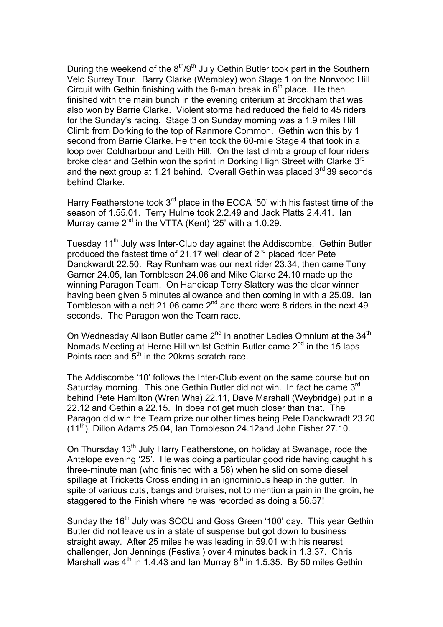During the weekend of the  $8<sup>th</sup>/9<sup>th</sup>$  July Gethin Butler took part in the Southern Velo Surrey Tour. Barry Clarke (Wembley) won Stage 1 on the Norwood Hill Circuit with Gethin finishing with the 8-man break in  $6<sup>th</sup>$  place. He then finished with the main bunch in the evening criterium at Brockham that was also won by Barrie Clarke. Violent storms had reduced the field to 45 riders for the Sunday's racing. Stage 3 on Sunday morning was a 1.9 miles Hill Climb from Dorking to the top of Ranmore Common. Gethin won this by 1 second from Barrie Clarke. He then took the 60-mile Stage 4 that took in a loop over Coldharbour and Leith Hill. On the last climb a group of four riders broke clear and Gethin won the sprint in Dorking High Street with Clarke 3<sup>rd</sup> and the next group at 1.21 behind. Overall Gethin was placed  $3<sup>rd</sup>$  39 seconds behind Clarke.

Harry Featherstone took 3<sup>rd</sup> place in the ECCA '50' with his fastest time of the season of 1.55.01. Terry Hulme took 2.2.49 and Jack Platts 2.4.41. Ian Murray came  $2^{nd}$  in the VTTA (Kent) '25' with a 1.0.29.

Tuesday 11<sup>th</sup> July was Inter-Club day against the Addiscombe. Gethin Butler produced the fastest time of 21.17 well clear of  $2<sup>nd</sup>$  placed rider Pete Danckwardt 22.50. Ray Runham was our next rider 23.34, then came Tony Garner 24.05, Ian Tombleson 24.06 and Mike Clarke 24.10 made up the winning Paragon Team. On Handicap Terry Slattery was the clear winner having been given 5 minutes allowance and then coming in with a 25.09. Ian Tombleson with a nett 21.06 came  $2^{nd}$  and there were 8 riders in the next 49 seconds. The Paragon won the Team race.

On Wednesday Allison Butler came  $2^{nd}$  in another Ladies Omnium at the  $34^{th}$ Nomads Meeting at Herne Hill whilst Gethin Butler came  $2<sup>nd</sup>$  in the 15 laps Points race and  $5<sup>th</sup>$  in the 20kms scratch race.

The Addiscombe '10' follows the Inter-Club event on the same course but on Saturday morning. This one Gethin Butler did not win. In fact he came 3rd behind Pete Hamilton (Wren Whs) 22.11, Dave Marshall (Weybridge) put in a 22.12 and Gethin a 22.15. In does not get much closer than that. The Paragon did win the Team prize our other times being Pete Danckwradt 23.20  $(11<sup>th</sup>)$ , Dillon Adams 25.04, Ian Tombleson 24.12and John Fisher 27.10.

On Thursday 13<sup>th</sup> July Harry Featherstone, on holiday at Swanage, rode the Antelope evening '25'. He was doing a particular good ride having caught his three-minute man (who finished with a 58) when he slid on some diesel spillage at Tricketts Cross ending in an ignominious heap in the gutter. In spite of various cuts, bangs and bruises, not to mention a pain in the groin, he staggered to the Finish where he was recorded as doing a 56.57!

Sunday the 16<sup>th</sup> July was SCCU and Goss Green '100' day. This year Gethin Butler did not leave us in a state of suspense but got down to business straight away. After 25 miles he was leading in 59.01 with his nearest challenger, Jon Jennings (Festival) over 4 minutes back in 1.3.37. Chris Marshall was  $4<sup>th</sup>$  in 1.4.43 and Ian Murray  $8<sup>th</sup>$  in 1.5.35. By 50 miles Gethin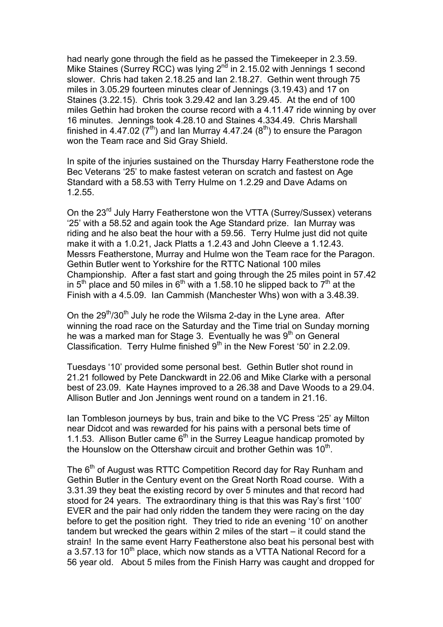had nearly gone through the field as he passed the Timekeeper in 2.3.59. Mike Staines (Surrey RCC) was lying 2<sup>nd</sup> in 2.15.02 with Jennings 1 second slower. Chris had taken 2.18.25 and Ian 2.18.27. Gethin went through 75 miles in 3.05.29 fourteen minutes clear of Jennings (3.19.43) and 17 on Staines (3.22.15). Chris took 3.29.42 and Ian 3.29.45. At the end of 100 miles Gethin had broken the course record with a 4.11.47 ride winning by over 16 minutes. Jennings took 4.28.10 and Staines 4.334.49. Chris Marshall finished in 4.47.02  $(7<sup>th</sup>)$  and Ian Murray 4.47.24  $(8<sup>th</sup>)$  to ensure the Paragon won the Team race and Sid Gray Shield.

In spite of the injuries sustained on the Thursday Harry Featherstone rode the Bec Veterans '25' to make fastest veteran on scratch and fastest on Age Standard with a 58.53 with Terry Hulme on 1.2.29 and Dave Adams on 1.2.55.

On the 23<sup>rd</sup> July Harry Featherstone won the VTTA (Surrey/Sussex) veterans '25' with a 58.52 and again took the Age Standard prize. Ian Murray was riding and he also beat the hour with a 59.56. Terry Hulme just did not quite make it with a 1.0.21, Jack Platts a 1.2.43 and John Cleeve a 1.12.43. Messrs Featherstone, Murray and Hulme won the Team race for the Paragon. Gethin Butler went to Yorkshire for the RTTC National 100 miles Championship. After a fast start and going through the 25 miles point in 57.42 in  $5<sup>th</sup>$  place and 50 miles in  $6<sup>th</sup>$  with a 1.58.10 he slipped back to  $7<sup>th</sup>$  at the Finish with a 4.5.09. Ian Cammish (Manchester Whs) won with a 3.48.39.

On the 29<sup>th</sup>/30<sup>th</sup> July he rode the Wilsma 2-day in the Lyne area. After winning the road race on the Saturday and the Time trial on Sunday morning he was a marked man for Stage 3. Eventually he was 9<sup>th</sup> on General Classification. Terry Hulme finished  $9<sup>th</sup>$  in the New Forest '50' in 2.2.09.

Tuesdays '10' provided some personal best. Gethin Butler shot round in 21.21 followed by Pete Danckwardt in 22.06 and Mike Clarke with a personal best of 23.09. Kate Haynes improved to a 26.38 and Dave Woods to a 29.04. Allison Butler and Jon Jennings went round on a tandem in 21.16.

Ian Tombleson journeys by bus, train and bike to the VC Press '25' ay Milton near Didcot and was rewarded for his pains with a personal bets time of 1.1.53. Allison Butler came  $6<sup>th</sup>$  in the Surrey League handicap promoted by the Hounslow on the Ottershaw circuit and brother Gethin was 10<sup>th</sup>.

The 6<sup>th</sup> of August was RTTC Competition Record day for Ray Runham and Gethin Butler in the Century event on the Great North Road course. With a 3.31.39 they beat the existing record by over 5 minutes and that record had stood for 24 years. The extraordinary thing is that this was Ray's first '100' EVER and the pair had only ridden the tandem they were racing on the day before to get the position right. They tried to ride an evening '10' on another tandem but wrecked the gears within 2 miles of the start – it could stand the strain! In the same event Harry Featherstone also beat his personal best with a 3.57.13 for 10<sup>th</sup> place, which now stands as a VTTA National Record for a 56 year old. About 5 miles from the Finish Harry was caught and dropped for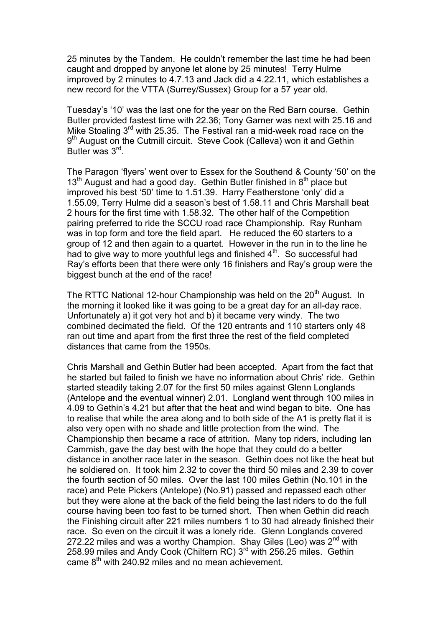25 minutes by the Tandem. He couldn't remember the last time he had been caught and dropped by anyone let alone by 25 minutes! Terry Hulme improved by 2 minutes to 4.7.13 and Jack did a 4.22.11, which establishes a new record for the VTTA (Surrey/Sussex) Group for a 57 year old.

Tuesday's '10' was the last one for the year on the Red Barn course. Gethin Butler provided fastest time with 22.36; Tony Garner was next with 25.16 and Mike Stoaling 3<sup>rd</sup> with 25.35. The Festival ran a mid-week road race on the 9<sup>th</sup> August on the Cutmill circuit. Steve Cook (Calleva) won it and Gethin Butler was 3rd.

The Paragon 'flyers' went over to Essex for the Southend & County '50' on the 13<sup>th</sup> August and had a good day. Gethin Butler finished in 8<sup>th</sup> place but improved his best '50' time to 1.51.39. Harry Featherstone 'only' did a 1.55.09, Terry Hulme did a season's best of 1.58.11 and Chris Marshall beat 2 hours for the first time with 1.58.32. The other half of the Competition pairing preferred to ride the SCCU road race Championship. Ray Runham was in top form and tore the field apart. He reduced the 60 starters to a group of 12 and then again to a quartet. However in the run in to the line he had to give way to more youthful legs and finished  $4<sup>th</sup>$ . So successful had Ray's efforts been that there were only 16 finishers and Ray's group were the biggest bunch at the end of the race!

The RTTC National 12-hour Championship was held on the 20<sup>th</sup> August. In the morning it looked like it was going to be a great day for an all-day race. Unfortunately a) it got very hot and b) it became very windy. The two combined decimated the field. Of the 120 entrants and 110 starters only 48 ran out time and apart from the first three the rest of the field completed distances that came from the 1950s.

Chris Marshall and Gethin Butler had been accepted. Apart from the fact that he started but failed to finish we have no information about Chris' ride. Gethin started steadily taking 2.07 for the first 50 miles against Glenn Longlands (Antelope and the eventual winner) 2.01. Longland went through 100 miles in 4.09 to Gethin's 4.21 but after that the heat and wind began to bite. One has to realise that while the area along and to both side of the A1 is pretty flat it is also very open with no shade and little protection from the wind. The Championship then became a race of attrition. Many top riders, including Ian Cammish, gave the day best with the hope that they could do a better distance in another race later in the season. Gethin does not like the heat but he soldiered on. It took him 2.32 to cover the third 50 miles and 2.39 to cover the fourth section of 50 miles. Over the last 100 miles Gethin (No.101 in the race) and Pete Pickers (Antelope) (No.91) passed and repassed each other but they were alone at the back of the field being the last riders to do the full course having been too fast to be turned short. Then when Gethin did reach the Finishing circuit after 221 miles numbers 1 to 30 had already finished their race. So even on the circuit it was a lonely ride. Glenn Longlands covered 272.22 miles and was a worthy Champion. Shay Giles (Leo) was  $2^{nd}$  with 258.99 miles and Andy Cook (Chiltern RC) 3<sup>rd</sup> with 256.25 miles. Gethin came  $8<sup>th</sup>$  with 240.92 miles and no mean achievement.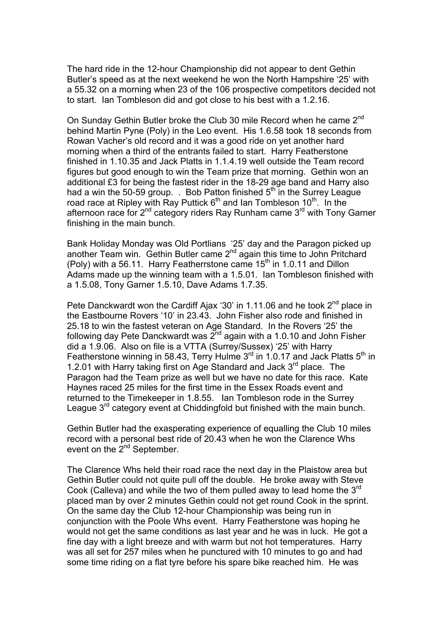The hard ride in the 12-hour Championship did not appear to dent Gethin Butler's speed as at the next weekend he won the North Hampshire '25' with a 55.32 on a morning when 23 of the 106 prospective competitors decided not to start. Ian Tombleson did and got close to his best with a 1.2.16.

On Sunday Gethin Butler broke the Club 30 mile Record when he came 2<sup>nd</sup> behind Martin Pyne (Poly) in the Leo event. His 1.6.58 took 18 seconds from Rowan Vacher's old record and it was a good ride on yet another hard morning when a third of the entrants failed to start. Harry Featherstone finished in 1.10.35 and Jack Platts in 1.1.4.19 well outside the Team record figures but good enough to win the Team prize that morning. Gethin won an additional £3 for being the fastest rider in the 18-29 age band and Harry also had a win the 50-59 group. . Bob Patton finished  $5<sup>th</sup>$  in the Surrey League road race at Ripley with Ray Puttick  $6<sup>th</sup>$  and Ian Tombleson 10<sup>th</sup>. In the afternoon race for  $2^{nd}$  category riders Ray Runham came  $3^{rd}$  with Tony Garner finishing in the main bunch.

Bank Holiday Monday was Old Portlians '25' day and the Paragon picked up another Team win. Gethin Butler came 2<sup>nd</sup> again this time to John Pritchard (Poly) with a 56.11. Harry Featherrstone came  $15<sup>th</sup>$  in 1.0.11 and Dillon Adams made up the winning team with a 1.5.01. Ian Tombleson finished with a 1.5.08, Tony Garner 1.5.10, Dave Adams 1.7.35.

Pete Danckwardt won the Cardiff Ajax '30' in 1.11.06 and he took  $2^{nd}$  place in the Eastbourne Rovers '10' in 23.43. John Fisher also rode and finished in 25.18 to win the fastest veteran on Age Standard. In the Rovers '25' the following day Pete Danckwardt was  $2^{nd}$  again with a 1.0.10 and John Fisher did a 1.9.06. Also on file is a VTTA (Surrey/Sussex) '25' with Harry Featherstone winning in 58.43, Terry Hulme 3<sup>rd</sup> in 1.0.17 and Jack Platts 5<sup>th</sup> in 1.2.01 with Harry taking first on Age Standard and Jack 3<sup>rd</sup> place. The Paragon had the Team prize as well but we have no date for this race. Kate Haynes raced 25 miles for the first time in the Essex Roads event and returned to the Timekeeper in 1.8.55. Ian Tombleson rode in the Surrey League 3<sup>rd</sup> category event at Chiddingfold but finished with the main bunch.

Gethin Butler had the exasperating experience of equalling the Club 10 miles record with a personal best ride of 20.43 when he won the Clarence Whs event on the  $2^{nd}$  September.

The Clarence Whs held their road race the next day in the Plaistow area but Gethin Butler could not quite pull off the double. He broke away with Steve Cook (Calleva) and while the two of them pulled away to lead home the 3rd placed man by over 2 minutes Gethin could not get round Cook in the sprint. On the same day the Club 12-hour Championship was being run in conjunction with the Poole Whs event. Harry Featherstone was hoping he would not get the same conditions as last year and he was in luck. He got a fine day with a light breeze and with warm but not hot temperatures. Harry was all set for 257 miles when he punctured with 10 minutes to go and had some time riding on a flat tyre before his spare bike reached him. He was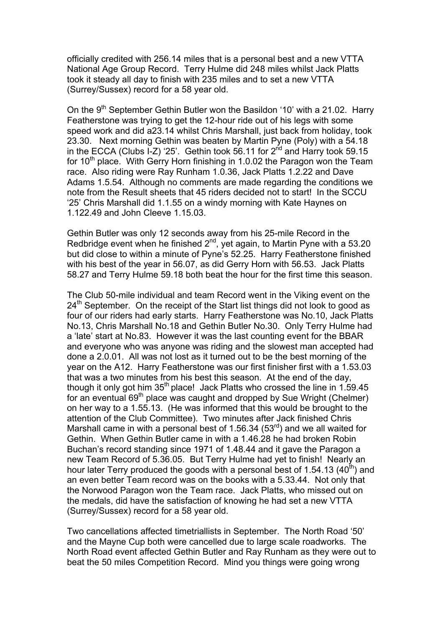officially credited with 256.14 miles that is a personal best and a new VTTA National Age Group Record. Terry Hulme did 248 miles whilst Jack Platts took it steady all day to finish with 235 miles and to set a new VTTA (Surrey/Sussex) record for a 58 year old.

On the  $9<sup>th</sup>$  September Gethin Butler won the Basildon '10' with a 21.02. Harry Featherstone was trying to get the 12-hour ride out of his legs with some speed work and did a23.14 whilst Chris Marshall, just back from holiday, took 23.30. Next morning Gethin was beaten by Martin Pyne (Poly) with a 54.18 in the ECCA (Clubs I-Z) '25'. Gethin took 56.11 for  $2^{nd}$  and Harry took 59.15 for  $10<sup>th</sup>$  place. With Gerry Horn finishing in 1.0.02 the Paragon won the Team race. Also riding were Ray Runham 1.0.36, Jack Platts 1.2.22 and Dave Adams 1.5.54. Although no comments are made regarding the conditions we note from the Result sheets that 45 riders decided not to start! In the SCCU '25' Chris Marshall did 1.1.55 on a windy morning with Kate Haynes on 1.122.49 and John Cleeve 1.15.03.

Gethin Butler was only 12 seconds away from his 25-mile Record in the Redbridge event when he finished  $2^{nd}$ , yet again, to Martin Pyne with a 53.20 but did close to within a minute of Pyne's 52.25. Harry Featherstone finished with his best of the year in 56.07, as did Gerry Horn with 56.53. Jack Platts 58.27 and Terry Hulme 59.18 both beat the hour for the first time this season.

The Club 50-mile individual and team Record went in the Viking event on the  $24<sup>th</sup>$  September. On the receipt of the Start list things did not look to good as four of our riders had early starts. Harry Featherstone was No.10, Jack Platts No.13, Chris Marshall No.18 and Gethin Butler No.30. Only Terry Hulme had a 'late' start at No.83. However it was the last counting event for the BBAR and everyone who was anyone was riding and the slowest man accepted had done a 2.0.01. All was not lost as it turned out to be the best morning of the year on the A12. Harry Featherstone was our first finisher first with a 1.53.03 that was a two minutes from his best this season. At the end of the day, though it only got him  $35<sup>th</sup>$  place! Jack Platts who crossed the line in 1.59.45 for an eventual 69<sup>th</sup> place was caught and dropped by Sue Wright (Chelmer) on her way to a 1.55.13. (He was informed that this would be brought to the attention of the Club Committee). Two minutes after Jack finished Chris Marshall came in with a personal best of 1.56.34 (53 $^{rd}$ ) and we all waited for Gethin. When Gethin Butler came in with a 1.46.28 he had broken Robin Buchan's record standing since 1971 of 1.48.44 and it gave the Paragon a new Team Record of 5.36.05. But Terry Hulme had yet to finish! Nearly an hour later Terry produced the goods with a personal best of 1.54.13 (40<sup>th</sup>) and an even better Team record was on the books with a 5.33.44. Not only that the Norwood Paragon won the Team race. Jack Platts, who missed out on the medals, did have the satisfaction of knowing he had set a new VTTA (Surrey/Sussex) record for a 58 year old.

Two cancellations affected timetriallists in September. The North Road '50' and the Mayne Cup both were cancelled due to large scale roadworks. The North Road event affected Gethin Butler and Ray Runham as they were out to beat the 50 miles Competition Record. Mind you things were going wrong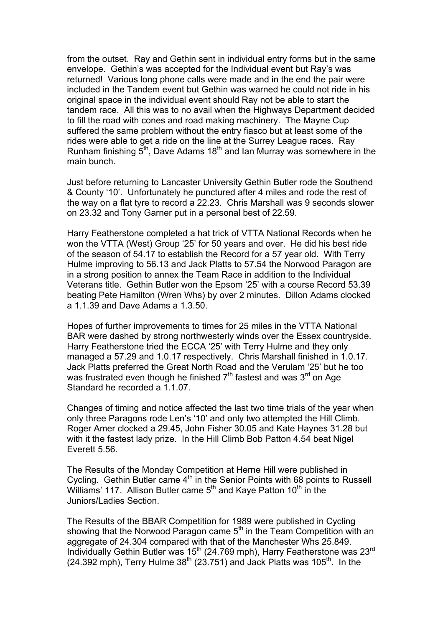from the outset. Ray and Gethin sent in individual entry forms but in the same envelope. Gethin's was accepted for the Individual event but Ray's was returned! Various long phone calls were made and in the end the pair were included in the Tandem event but Gethin was warned he could not ride in his original space in the individual event should Ray not be able to start the tandem race. All this was to no avail when the Highways Department decided to fill the road with cones and road making machinery. The Mayne Cup suffered the same problem without the entry fiasco but at least some of the rides were able to get a ride on the line at the Surrey League races. Ray Runham finishing  $\bar{5}^{th}$ , Dave Adams 18<sup>th</sup> and Ian Murray was somewhere in the main bunch.

Just before returning to Lancaster University Gethin Butler rode the Southend & County '10'. Unfortunately he punctured after 4 miles and rode the rest of the way on a flat tyre to record a 22.23. Chris Marshall was 9 seconds slower on 23.32 and Tony Garner put in a personal best of 22.59.

Harry Featherstone completed a hat trick of VTTA National Records when he won the VTTA (West) Group '25' for 50 years and over. He did his best ride of the season of 54.17 to establish the Record for a 57 year old. With Terry Hulme improving to 56.13 and Jack Platts to 57.54 the Norwood Paragon are in a strong position to annex the Team Race in addition to the Individual Veterans title. Gethin Butler won the Epsom '25' with a course Record 53.39 beating Pete Hamilton (Wren Whs) by over 2 minutes. Dillon Adams clocked a 1.1.39 and Dave Adams a 1.3.50.

Hopes of further improvements to times for 25 miles in the VTTA National BAR were dashed by strong northwesterly winds over the Essex countryside. Harry Featherstone tried the ECCA '25' with Terry Hulme and they only managed a 57.29 and 1.0.17 respectively. Chris Marshall finished in 1.0.17. Jack Platts preferred the Great North Road and the Verulam '25' but he too was frustrated even though he finished  $7<sup>th</sup>$  fastest and was  $3<sup>rd</sup>$  on Age Standard he recorded a 1.1.07.

Changes of timing and notice affected the last two time trials of the year when only three Paragons rode Len's '10' and only two attempted the Hill Climb. Roger Amer clocked a 29.45, John Fisher 30.05 and Kate Haynes 31.28 but with it the fastest lady prize. In the Hill Climb Bob Patton 4.54 beat Nigel Everett 5.56.

The Results of the Monday Competition at Herne Hill were published in Cycling. Gethin Butler came  $4<sup>th</sup>$  in the Senior Points with 68 points to Russell Williams' 117. Allison Butler came 5<sup>th</sup> and Kaye Patton 10<sup>th</sup> in the Juniors/Ladies Section.

The Results of the BBAR Competition for 1989 were published in Cycling showing that the Norwood Paragon came  $5<sup>th</sup>$  in the Team Competition with an aggregate of 24.304 compared with that of the Manchester Whs 25.849. Individually Gethin Butler was 15<sup>th</sup> (24.769 mph), Harry Featherstone was 23<sup>rd</sup> (24.392 mph), Terry Hulme  $38<sup>th</sup>$  (23.751) and Jack Platts was 105<sup>th</sup>. In the